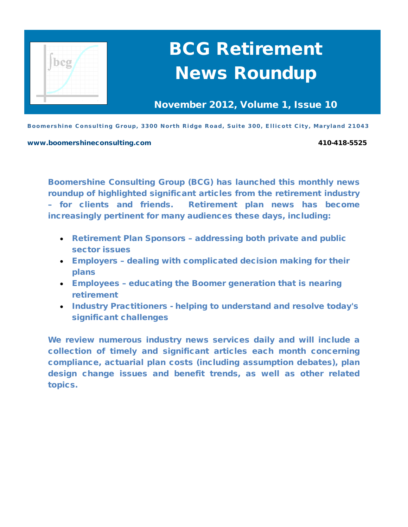

# BCG Retirement News Roundup

November 2012, Volume 1, Issue 10

Boomershine Consulting Group, 3300 North Ridge Road, Suite 300, Ellicott City, Maryland 21043

#### [www.boomershineconsulting.com](http://www.boomershineconsulting.com/) 410-418-5525

Boomershine Consulting Group (BCG) has launched this monthly news roundup of highlighted significant articles from the retirement industry – for clients and friends. Retirement plan news has become increasingly pertinent for many audiences these days, including:

- Retirement Plan Sponsors addressing both private and public sector issues
- Employers dealing with complicated decision making for their plans
- Employees educating the Boomer generation that is nearing retirement
- Industry Practitioners helping to understand and resolve today's significant challenges

We review numerous industry news services daily and will include a collection of timely and significant articles each month concerning compliance, actuarial plan costs (including assumption debates), plan design change issues and benefit trends, as well as other related topics.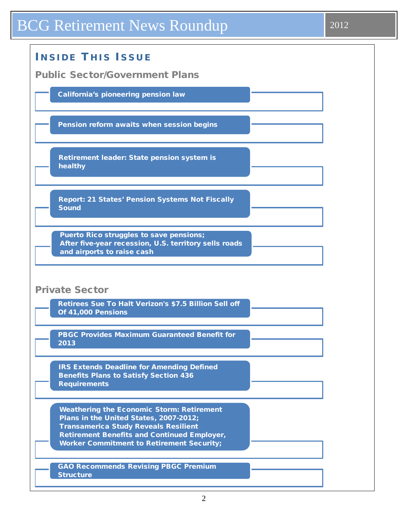## BCG Retirement News Roundup 2012

| <b>INSIDE THIS ISSUE</b>                                                                                                                                                                                                                            |
|-----------------------------------------------------------------------------------------------------------------------------------------------------------------------------------------------------------------------------------------------------|
| <b>Public Sector/Government Plans</b>                                                                                                                                                                                                               |
| <b>California's pioneering pension law</b>                                                                                                                                                                                                          |
| Pension reform awaits when session begins                                                                                                                                                                                                           |
| Retirement leader: State pension system is<br>healthy                                                                                                                                                                                               |
| <b>Report: 21 States' Pension Systems Not Fiscally</b><br><b>Sound</b>                                                                                                                                                                              |
| Puerto Rico struggles to save pensions;<br>After five-year recession, U.S. territory sells roads<br>and airports to raise cash                                                                                                                      |
| <b>Private Sector</b><br>Retirees Sue To Halt Verizon's \$7.5 Billion Sell off                                                                                                                                                                      |
| Of 41,000 Pensions                                                                                                                                                                                                                                  |
| PBGC Provides Maximum Guaranteed Benefit for<br>2013                                                                                                                                                                                                |
| <b>IRS Extends Deadline for Amending Defined</b><br><b>Benefits Plans to Satisfy Section 436</b><br><b>Requirements</b>                                                                                                                             |
| <b>Weathering the Economic Storm: Retirement</b><br>Plans in the United States, 2007-2012;<br><b>Transamerica Study Reveals Resilient</b><br><b>Retirement Benefits and Continued Employer,</b><br><b>Worker Commitment to Retirement Security;</b> |
| <b>GAO Recommends Revising PBGC Premium</b><br><b>Structure</b>                                                                                                                                                                                     |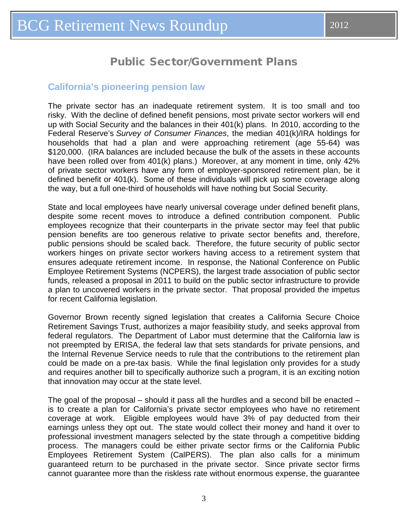### Public Sector/Government Plans

### <span id="page-2-0"></span>**California's pioneering pension law**

The private sector has an inadequate retirement system. It is too small and too risky. With the decline of defined benefit pensions, most private sector workers will end up with Social Security and the balances in their 401(k) plans. In 2010, according to the Federal Reserve's *Survey of Consumer Finances*, the median 401(k)/IRA holdings for households that had a plan and were approaching retirement (age 55-64) was \$120,000. (IRA balances are included because the bulk of the assets in these accounts have been rolled over from 401(k) plans.) Moreover, at any moment in time, only 42% of private sector workers have any form of employer-sponsored retirement plan, be it defined benefit or 401(k). Some of these individuals will pick up some coverage along the way, but a full one-third of households will have nothing but Social Security.

State and local employees have nearly universal coverage under defined benefit plans, despite some recent moves to introduce a defined contribution component. Public employees recognize that their counterparts in the private sector may feel that public pension benefits are too generous relative to private sector benefits and, therefore, public pensions should be scaled back. Therefore, the future security of public sector workers hinges on private sector workers having access to a retirement system that ensures adequate retirement income. In response, the National Conference on Public Employee Retirement Systems (NCPERS), the largest trade association of public sector funds, released a proposal in 2011 to build on the public sector infrastructure to provide a plan to uncovered workers in the private sector. That proposal provided the impetus for recent California legislation.

Governor Brown recently signed legislation that creates a California Secure Choice Retirement Savings Trust, authorizes a major feasibility study, and seeks approval from federal regulators. The Department of Labor must determine that the California law is not preempted by ERISA, the federal law that sets standards for private pensions, and the Internal Revenue Service needs to rule that the contributions to the retirement plan could be made on a pre-tax basis. While the final legislation only provides for a study and requires another bill to specifically authorize such a program, it is an exciting notion that innovation may occur at the state level.

The goal of the proposal – should it pass all the hurdles and a second bill be enacted – is to create a plan for California's private sector employees who have no retirement coverage at work. Eligible employees would have 3% of pay deducted from their earnings unless they opt out. The state would collect their money and hand it over to professional investment managers selected by the state through a competitive bidding process. The managers could be either private sector firms or the California Public Employees Retirement System (CalPERS). The plan also calls for a minimum guaranteed return to be purchased in the private sector. Since private sector firms cannot guarantee more than the riskless rate without enormous expense, the guarantee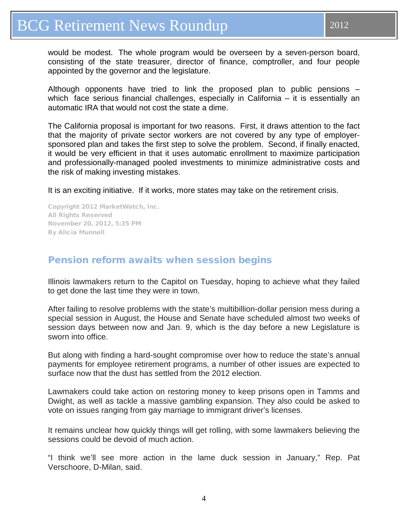<span id="page-3-0"></span>would be modest. The whole program would be overseen by a seven-person board, consisting of the state treasurer, director of finance, comptroller, and four people appointed by the governor and the legislature.

Although opponents have tried to link the proposed plan to public pensions – which face serious financial challenges, especially in California – it is essentially an automatic IRA that would not cost the state a dime.

The California proposal is important for two reasons. First, it draws attention to the fact that the majority of private sector workers are not covered by any type of employersponsored plan and takes the first step to solve the problem. Second, if finally enacted, it would be very efficient in that it uses automatic enrollment to maximize participation and professionally-managed pooled investments to minimize administrative costs and the risk of making investing mistakes.

It is an exciting initiative. If it works, more states may take on the retirement crisis.

Copyright 2012 MarketWatch, Inc. All Rights Reserved November 20, 2012, 5:35 PM By Alicia Munnell

### Pension reform awaits when session begins

Illinois lawmakers return to the Capitol on Tuesday, hoping to achieve what they failed to get done the last time they were in town.

After failing to resolve problems with the state's multibillion-dollar pension mess during a special session in August, the House and Senate have scheduled almost two weeks of session days between now and Jan. 9, which is the day before a new Legislature is sworn into office.

But along with finding a hard-sought compromise over how to reduce the state's annual payments for employee retirement programs, a number of other issues are expected to surface now that the dust has settled from the 2012 election.

Lawmakers could take action on restoring money to keep prisons open in Tamms and Dwight, as well as tackle a massive gambling expansion. They also could be asked to vote on issues ranging from gay marriage to immigrant driver's licenses.

It remains unclear how quickly things will get rolling, with some lawmakers believing the sessions could be devoid of much action.

"I think we'll see more action in the lame duck session in January," Rep. Pat Verschoore, D-Milan, said.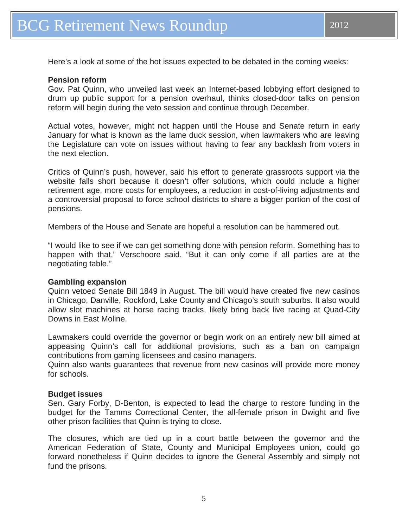Here's a look at some of the hot issues expected to be debated in the coming weeks:

#### **Pension reform**

Gov. Pat Quinn, who unveiled last week an Internet-based lobbying effort designed to drum up public support for a pension overhaul, thinks closed-door talks on pension reform will begin during the veto session and continue through December.

Actual votes, however, might not happen until the House and Senate return in early January for what is known as the lame duck session, when lawmakers who are leaving the Legislature can vote on issues without having to fear any backlash from voters in the next election.

Critics of Quinn's push, however, said his effort to generate grassroots support via the website falls short because it doesn't offer solutions, which could include a higher retirement age, more costs for employees, a reduction in cost-of-living adjustments and a controversial proposal to force school districts to share a bigger portion of the cost of pensions.

Members of the House and Senate are hopeful a resolution can be hammered out.

"I would like to see if we can get something done with pension reform. Something has to happen with that," Verschoore said. "But it can only come if all parties are at the negotiating table."

#### **Gambling expansion**

Quinn vetoed Senate Bill 1849 in August. The bill would have created five new casinos in Chicago, Danville, Rockford, Lake County and Chicago's south suburbs. It also would allow slot machines at horse racing tracks, likely bring back live racing at Quad-City Downs in East Moline.

Lawmakers could override the governor or begin work on an entirely new bill aimed at appeasing Quinn's call for additional provisions, such as a ban on campaign contributions from gaming licensees and casino managers.

Quinn also wants guarantees that revenue from new casinos will provide more money for schools.

#### **Budget issues**

Sen. Gary Forby, D-Benton, is expected to lead the charge to restore funding in the budget for the Tamms Correctional Center, the all-female prison in Dwight and five other prison facilities that Quinn is trying to close.

The closures, which are tied up in a court battle between the governor and the American Federation of State, County and Municipal Employees union, could go forward nonetheless if Quinn decides to ignore the General Assembly and simply not fund the prisons.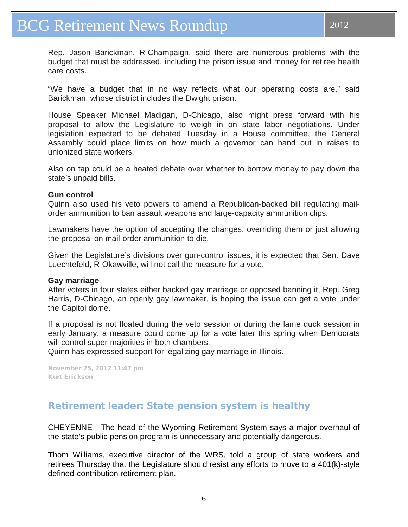<span id="page-5-0"></span>Rep. Jason Barickman, R-Champaign, said there are numerous problems with the budget that must be addressed, including the prison issue and money for retiree health care costs.

"We have a budget that in no way reflects what our operating costs are," said Barickman, whose district includes the Dwight prison.

House Speaker Michael Madigan, D-Chicago, also might press forward with his proposal to allow the Legislature to weigh in on state labor negotiations. Under legislation expected to be debated Tuesday in a House committee, the General Assembly could place limits on how much a governor can hand out in raises to unionized state workers.

Also on tap could be a heated debate over whether to borrow money to pay down the state's unpaid bills.

### **Gun control**

Quinn also used his veto powers to amend a Republican-backed bill regulating mailorder ammunition to ban assault weapons and large-capacity ammunition clips.

Lawmakers have the option of accepting the changes, overriding them or just allowing the proposal on mail-order ammunition to die.

Given the Legislature's divisions over gun-control issues, it is expected that Sen. Dave Luechtefeld, R-Okawville, will not call the measure for a vote.

#### **Gay marriage**

After voters in four states either backed gay marriage or opposed banning it, Rep. Greg Harris, D-Chicago, an openly gay lawmaker, is hoping the issue can get a vote under the Capitol dome.

If a proposal is not floated during the veto session or during the lame duck session in early January, a measure could come up for a vote later this spring when Democrats will control super-majorities in both chambers.

Quinn has expressed support for legalizing gay marriage in Illinois.

November 25, 2012 11:47 pm Kurt [Erickson](http://qctimes.com/search/?l=50&sd=desc&s=start_time&f=html&byline=Kurt%20Erickson)

### Retirement leader: State pension system is healthy

CHEYENNE - The head of the Wyoming Retirement System says a major overhaul of the state's public pension program is unnecessary and potentially dangerous.

Thom Williams, executive director of the WRS, told a group of state workers and retirees Thursday that the Legislature should resist any efforts to move to a 401(k)-style defined-contribution retirement plan.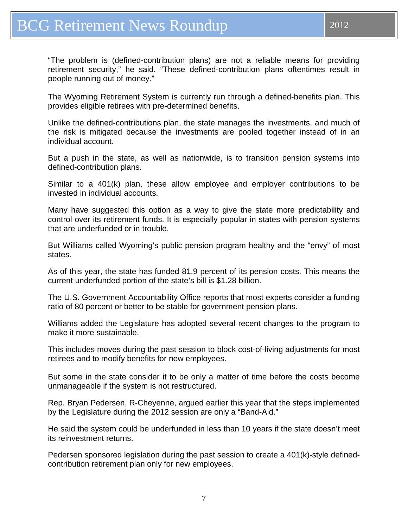"The problem is (defined-contribution plans) are not a reliable means for providing retirement security," he said. "These defined-contribution plans oftentimes result in people running out of money."

The Wyoming Retirement System is currently run through a defined-benefits plan. This provides eligible retirees with pre-determined benefits.

Unlike the defined-contributions plan, the state manages the investments, and much of the risk is mitigated because the investments are pooled together instead of in an individual account.

But a push in the state, as well as nationwide, is to transition pension systems into defined-contribution plans.

Similar to a 401(k) plan, these allow employee and employer contributions to be invested in individual accounts.

Many have suggested this option as a way to give the state more predictability and control over its retirement funds. It is especially popular in states with pension systems that are underfunded or in trouble.

But Williams called Wyoming's public pension program healthy and the "envy" of most states.

As of this year, the state has funded 81.9 percent of its pension costs. This means the current underfunded portion of the state's bill is \$1.28 billion.

The U.S. Government Accountability Office reports that most experts consider a funding ratio of 80 percent or better to be stable for government pension plans.

Williams added the Legislature has adopted several recent changes to the program to make it more sustainable.

This includes moves during the past session to block cost-of-living adjustments for most retirees and to modify benefits for new employees.

But some in the state consider it to be only a matter of time before the costs become unmanageable if the system is not restructured.

Rep. Bryan Pedersen, R-Cheyenne, argued earlier this year that the steps implemented by the Legislature during the 2012 session are only a "Band-Aid."

He said the system could be underfunded in less than 10 years if the state doesn't meet its reinvestment returns.

Pedersen sponsored legislation during the past session to create a 401(k)-style definedcontribution retirement plan only for new employees.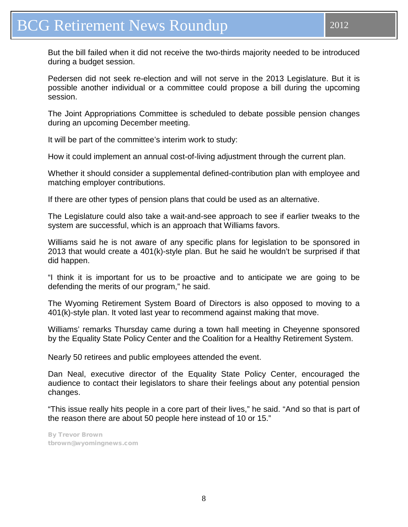But the bill failed when it did not receive the two-thirds majority needed to be introduced during a budget session.

Pedersen did not seek re-election and will not serve in the 2013 Legislature. But it is possible another individual or a committee could propose a bill during the upcoming session.

The Joint Appropriations Committee is scheduled to debate possible pension changes during an upcoming December meeting.

It will be part of the committee's interim work to study:

How it could implement an annual cost-of-living adjustment through the current plan.

Whether it should consider a supplemental defined-contribution plan with employee and matching employer contributions.

If there are other types of pension plans that could be used as an alternative.

The Legislature could also take a wait-and-see approach to see if earlier tweaks to the system are successful, which is an approach that Williams favors.

Williams said he is not aware of any specific plans for legislation to be sponsored in 2013 that would create a 401(k)-style plan. But he said he wouldn't be surprised if that did happen.

"I think it is important for us to be proactive and to anticipate we are going to be defending the merits of our program," he said.

The Wyoming Retirement System Board of Directors is also opposed to moving to a 401(k)-style plan. It voted last year to recommend against making that move.

Williams' remarks Thursday came during a town hall meeting in Cheyenne sponsored by the Equality State Policy Center and the Coalition for a Healthy Retirement System.

Nearly 50 retirees and public employees attended the event.

Dan Neal, executive director of the Equality State Policy Center, encouraged the audience to contact their legislators to share their feelings about any potential pension changes.

"This issue really hits people in a core part of their lives," he said. "And so that is part of the reason there are about 50 people here instead of 10 or 15."

By [Trevor Brown](mailto:tbrown@wyomingnews.com) [tbrown@wyomingnews.com](mailto:tbrown@wyomingnews.com)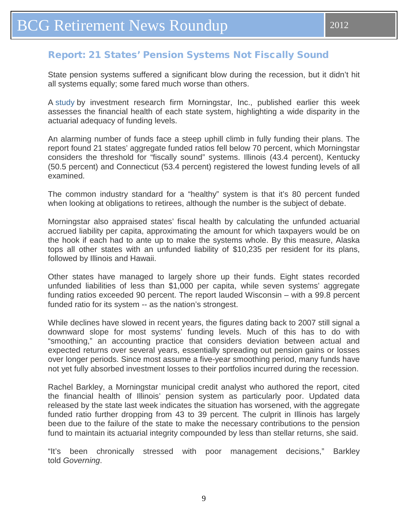### <span id="page-8-0"></span>Report: 21 States' Pension Systems Not Fiscally Sound

State pension systems suffered a significant blow during the recession, but it didn't hit all systems equally; some fared much worse than others.

A [study](http://media.navigatored.com/documents/StateofStatePensionsReport.pdf) by investment research firm Morningstar, Inc., published earlier this week assesses the financial health of each state system, highlighting a wide disparity in the actuarial adequacy of funding levels.

An alarming number of funds face a steep uphill climb in fully funding their plans. The report found 21 states' aggregate funded ratios fell below 70 percent, which Morningstar considers the threshold for "fiscally sound" systems. Illinois (43.4 percent), Kentucky (50.5 percent) and Connecticut (53.4 percent) registered the lowest funding levels of all examined.

The common industry standard for a "healthy" system is that it's 80 percent funded when looking at obligations to retirees, although the number is the subject of debate.

Morningstar also appraised states' fiscal health by calculating the unfunded actuarial accrued liability per capita, approximating the amount for which taxpayers would be on the hook if each had to ante up to make the systems whole. By this measure, Alaska tops all other states with an unfunded liability of \$10,235 per resident for its plans, followed by Illinois and Hawaii.

Other states have managed to largely shore up their funds. Eight states recorded unfunded liabilities of less than \$1,000 per capita, while seven systems' aggregate funding ratios exceeded 90 percent. The report lauded Wisconsin – with a 99.8 percent funded ratio for its system -- as the nation's strongest.

While declines have slowed in recent years, the figures dating back to 2007 still signal a downward slope for most systems' funding levels. Much of this has to do with "smoothing," an accounting practice that considers deviation between actual and expected returns over several years, essentially spreading out pension gains or losses over longer periods. Since most assume a five-year smoothing period, many funds have not yet fully absorbed investment losses to their portfolios incurred during the recession.

Rachel Barkley, a Morningstar municipal credit analyst who authored the report, cited the financial health of Illinois' pension system as particularly poor. Updated data released by the state last week indicates the situation has worsened, with the aggregate funded ratio further dropping from 43 to 39 percent. The culprit in Illinois has largely been due to the failure of the state to make the necessary contributions to the pension fund to maintain its actuarial integrity compounded by less than stellar returns, she said.

"It's been chronically stressed with poor management decisions," Barkley told *Governing*.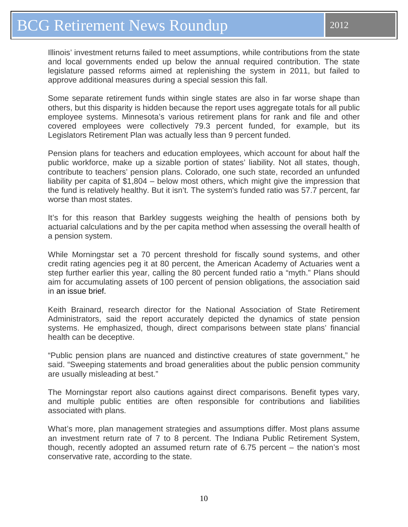Illinois' investment returns failed to meet assumptions, while contributions from the state and local governments ended up below the annual required contribution. The state legislature passed reforms aimed at replenishing the system in 2011, but failed to approve additional measures during a special session this fall.

Some separate retirement funds within single states are also in far worse shape than others, but this disparity is hidden because the report uses aggregate totals for all public employee systems. Minnesota's various retirement plans for rank and file and other covered employees were collectively 79.3 percent funded, for example, but its Legislators Retirement Plan was actually less than 9 percent funded.

Pension plans for teachers and education employees, which account for about half the public workforce, make up a sizable portion of states' liability. Not all states, though, contribute to teachers' pension plans. Colorado, one such state, recorded an unfunded liability per capita of \$1,804 – below most others, which might give the impression that the fund is relatively healthy. But it isn't. The system's funded ratio was 57.7 percent, far worse than most states.

It's for this reason that Barkley suggests weighing the health of pensions both by actuarial calculations and by the per capita method when assessing the overall health of a pension system.

While Morningstar set a 70 percent threshold for fiscally sound systems, and other credit rating agencies peg it at 80 percent, the American Academy of Actuaries went a step further earlier this year, calling the 80 percent funded ratio a "myth." Plans should aim for accumulating assets of 100 percent of pension obligations, the association said in an [issue](http://www.actuary.org/files/80_Percent_Funding_IB_071912.pdf) brief.

Keith Brainard, research director for the National Association of State Retirement Administrators, said the report accurately depicted the dynamics of state pension systems. He emphasized, though, direct comparisons between state plans' financial health can be deceptive.

"Public pension plans are nuanced and distinctive creatures of state government," he said. "Sweeping statements and broad generalities about the public pension community are usually misleading at best."

The Morningstar report also cautions against direct comparisons. Benefit types vary, and multiple public entities are often responsible for contributions and liabilities associated with plans.

What's more, plan management strategies and assumptions differ. Most plans assume an investment return rate of 7 to 8 percent. The Indiana Public Retirement System, though, recently adopted an assumed return rate of 6.75 percent – the nation's most conservative rate, according to the state.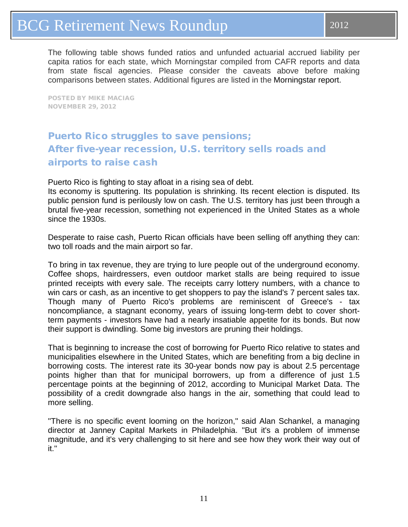## <span id="page-10-0"></span>BCG Retirement News Roundup 2012

The following table shows funded ratios and unfunded actuarial accrued liability per capita ratios for each state, which Morningstar compiled from CAFR reports and data from state fiscal agencies. Please consider the caveats above before making comparisons between states. Additional figures are listed in the [Morningstar](http://media.navigatored.com/documents/StateofStatePensionsReport.pdf) report.

POSTED BY MIKE [MACIAG](http://www.governing.com/authors/Mike-Maciag.html) NOVEMBER 29, 2012

### Puerto Rico struggles to save pensions; After five-year recession, U.S. territory sells roads and airports to raise cash

Puerto Rico is fighting to stay afloat in a rising sea of debt.

Its economy is sputtering. Its population is shrinking. Its recent election is disputed. Its public pension fund is perilously low on cash. The U.S. territory has just been through a brutal five-year recession, something not experienced in the United States as a whole since the 1930s.

Desperate to raise cash, Puerto Rican officials have been selling off anything they can: two toll roads and the main airport so far.

To bring in tax revenue, they are trying to lure people out of the underground economy. Coffee shops, hairdressers, even outdoor market stalls are being required to issue printed receipts with every sale. The receipts carry lottery numbers, with a chance to win cars or cash, as an incentive to get shoppers to pay the island's 7 percent sales tax. Though many of Puerto Rico's problems are reminiscent of Greece's - tax noncompliance, a stagnant economy, years of issuing long-term debt to cover shortterm payments - investors have had a nearly insatiable appetite for its bonds. But now their support is dwindling. Some big investors are pruning their holdings.

That is beginning to increase the cost of borrowing for Puerto Rico relative to states and municipalities elsewhere in the United States, which are benefiting from a big decline in borrowing costs. The interest rate its 30-year bonds now pay is about 2.5 percentage points higher than that for municipal borrowers, up from a difference of just 1.5 percentage points at the beginning of 2012, according to Municipal Market Data. The possibility of a credit downgrade also hangs in the air, something that could lead to more selling.

''There is no specific event looming on the horizon,'' said Alan Schankel, a managing director at Janney Capital Markets in Philadelphia. ''But it's a problem of immense magnitude, and it's very challenging to sit here and see how they work their way out of it.''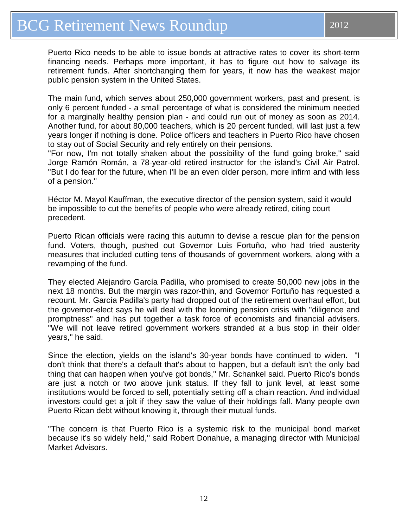Puerto Rico needs to be able to issue bonds at attractive rates to cover its short-term financing needs. Perhaps more important, it has to figure out how to salvage its retirement funds. After shortchanging them for years, it now has the weakest major public pension system in the United States.

The main fund, which serves about 250,000 government workers, past and present, is only 6 percent funded - a small percentage of what is considered the minimum needed for a marginally healthy pension plan - and could run out of money as soon as 2014. Another fund, for about 80,000 teachers, which is 20 percent funded, will last just a few years longer if nothing is done. Police officers and teachers in Puerto Rico have chosen to stay out of Social Security and rely entirely on their pensions.

''For now, I'm not totally shaken about the possibility of the fund going broke,'' said Jorge Ramón Román, a 78-year-old retired instructor for the island's Civil Air Patrol. ''But I do fear for the future, when I'll be an even older person, more infirm and with less of a pension.''

Héctor M. Mayol Kauffman, the executive director of the pension system, said it would be impossible to cut the benefits of people who were already retired, citing court precedent.

Puerto Rican officials were racing this autumn to devise a rescue plan for the pension fund. Voters, though, pushed out Governor Luis Fortuño, who had tried austerity measures that included cutting tens of thousands of government workers, along with a revamping of the fund.

They elected Alejandro García Padilla, who promised to create 50,000 new jobs in the next 18 months. But the margin was razor-thin, and Governor Fortuño has requested a recount. Mr. García Padilla's party had dropped out of the retirement overhaul effort, but the governor-elect says he will deal with the looming pension crisis with ''diligence and promptness'' and has put together a task force of economists and financial advisers. ''We will not leave retired government workers stranded at a bus stop in their older years,'' he said.

Since the election, yields on the island's 30-year bonds have continued to widen. ''I don't think that there's a default that's about to happen, but a default isn't the only bad thing that can happen when you've got bonds,'' Mr. Schankel said. Puerto Rico's bonds are just a notch or two above junk status. If they fall to junk level, at least some institutions would be forced to sell, potentially setting off a chain reaction. And individual investors could get a jolt if they saw the value of their holdings fall. Many people own Puerto Rican debt without knowing it, through their mutual funds.

''The concern is that Puerto Rico is a systemic risk to the municipal bond market because it's so widely held,'' said Robert Donahue, a managing director with Municipal Market Advisors.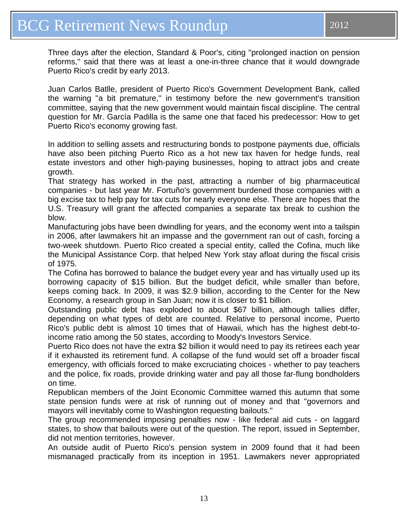Three days after the election, Standard & Poor's, citing ''prolonged inaction on pension reforms,'' said that there was at least a one-in-three chance that it would downgrade Puerto Rico's credit by early 2013.

Juan Carlos Batlle, president of Puerto Rico's Government Development Bank, called the warning ''a bit premature,'' in testimony before the new government's transition committee, saying that the new government would maintain fiscal discipline. The central question for Mr. García Padilla is the same one that faced his predecessor: How to get Puerto Rico's economy growing fast.

In addition to selling assets and restructuring bonds to postpone payments due, officials have also been pitching Puerto Rico as a hot new tax haven for hedge funds, real estate investors and other high-paying businesses, hoping to attract jobs and create growth.

That strategy has worked in the past, attracting a number of big pharmaceutical companies - but last year Mr. Fortuño's government burdened those companies with a big excise tax to help pay for tax cuts for nearly everyone else. There are hopes that the U.S. Treasury will grant the affected companies a separate tax break to cushion the blow.

Manufacturing jobs have been dwindling for years, and the economy went into a tailspin in 2006, after lawmakers hit an impasse and the government ran out of cash, forcing a two-week shutdown. Puerto Rico created a special entity, called the Cofina, much like the Municipal Assistance Corp. that helped New York stay afloat during the fiscal crisis of 1975.

The Cofina has borrowed to balance the budget every year and has virtually used up its borrowing capacity of \$15 billion. But the budget deficit, while smaller than before, keeps coming back. In 2009, it was \$2.9 billion, according to the Center for the New Economy, a research group in San Juan; now it is closer to \$1 billion.

Outstanding public debt has exploded to about \$67 billion, although tallies differ, depending on what types of debt are counted. Relative to personal income, Puerto Rico's public debt is almost 10 times that of Hawaii, which has the highest debt-toincome ratio among the 50 states, according to Moody's Investors Service.

Puerto Rico does not have the extra \$2 billion it would need to pay its retirees each year if it exhausted its retirement fund. A collapse of the fund would set off a broader fiscal emergency, with officials forced to make excruciating choices - whether to pay teachers and the police, fix roads, provide drinking water and pay all those far-flung bondholders on time.

Republican members of the Joint Economic Committee warned this autumn that some state pension funds were at risk of running out of money and that ''governors and mayors will inevitably come to Washington requesting bailouts.''

The group recommended imposing penalties now - like federal aid cuts - on laggard states, to show that bailouts were out of the question. The report, issued in September, did not mention territories, however.

An outside audit of Puerto Rico's pension system in 2009 found that it had been mismanaged practically from its inception in 1951. Lawmakers never appropriated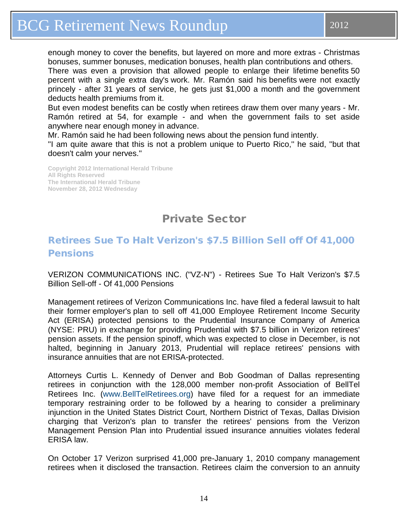<span id="page-13-0"></span>There was even a provision that allowed people to enlarge their lifetime benefits 50 percent with a single extra day's work. Mr. Ramón said his benefits were not exactly princely - after 31 years of service, he gets just \$1,000 a month and the government deducts health premiums from it.

But even modest benefits can be costly when retirees draw them over many years - Mr. Ramón retired at 54, for example - and when the government fails to set aside anywhere near enough money in advance.

Mr. Ramón said he had been following news about the pension fund intently.

''I am quite aware that this is not a problem unique to Puerto Rico,'' he said, ''but that doesn't calm your nerves.''

**Copyright 2012 International Herald Tribune All Rights Reserved The International Herald Tribune November 28, 2012 Wednesday**

### Private Sector

### Retirees Sue To Halt Verizon's \$7.5 Billion Sell off Of 41,000 **Pensions**

VERIZON COMMUNICATIONS INC. ("VZ-N") - Retirees Sue To Halt Verizon's \$7.5 Billion Sell-off - Of 41,000 Pensions

Management retirees of Verizon Communications Inc. have filed a federal lawsuit to halt their former employer's plan to sell off 41,000 Employee Retirement Income Security Act (ERISA) protected pensions to the Prudential Insurance Company of America (NYSE: PRU) in exchange for providing Prudential with \$7.5 billion in Verizon retirees' pension assets. If the pension spinoff, which was expected to close in December, is not halted, beginning in January 2013, Prudential will replace retirees' pensions with insurance annuities that are not ERISA-protected.

Attorneys Curtis L. Kennedy of Denver and Bob Goodman of Dallas representing retirees in conjunction with the 128,000 member non-profit Association of BellTel Retirees Inc. [\(www.BellTelRetirees.org\)](http://www.belltelretirees.org/) have filed for a request for an immediate temporary restraining order to be followed by a hearing to consider a preliminary injunction in the United States District Court, Northern District of Texas, Dallas Division charging that Verizon's plan to transfer the retirees' pensions from the Verizon Management Pension Plan into Prudential issued insurance annuities violates federal ERISA law.

On October 17 Verizon surprised 41,000 pre-January 1, 2010 company management retirees when it disclosed the transaction. Retirees claim the conversion to an annuity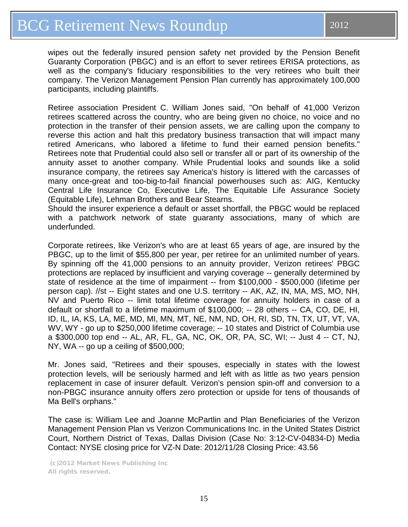wipes out the federally insured pension safety net provided by the Pension Benefit Guaranty Corporation (PBGC) and is an effort to sever retirees ERISA protections, as well as the company's fiduciary responsibilities to the very retirees who built their company. The Verizon Management Pension Plan currently has approximately 100,000 participants, including plaintiffs.

Retiree association President C. William Jones said, "On behalf of 41,000 Verizon retirees scattered across the country, who are being given no choice, no voice and no protection in the transfer of their pension assets, we are calling upon the company to reverse this action and halt this predatory business transaction that will impact many retired Americans, who labored a lifetime to fund their earned pension benefits." Retirees note that Prudential could also sell or transfer all or part of its ownership of the annuity asset to another company. While Prudential looks and sounds like a solid insurance company, the retirees say America's history is littered with the carcasses of many once-great and too-big-to-fail financial powerhouses such as: AIG, Kentucky Central Life Insurance Co, Executive Life, The Equitable Life Assurance Society (Equitable Life), Lehman Brothers and Bear Stearns.

Should the insurer experience a default or asset shortfall, the PBGC would be replaced with a patchwork network of state guaranty associations, many of which are underfunded.

Corporate retirees, like Verizon's who are at least 65 years of age, are insured by the PBGC, up to the limit of \$55,800 per year, per retiree for an unlimited number of years. By spinning off the 41,000 pensions to an annuity provider, Verizon retirees' PBGC protections are replaced by insufficient and varying coverage -- generally determined by state of residence at the time of impairment -- from \$100,000 - \$500,000 (lifetime per person cap). //st -- Eight states and one U.S. territory -- AK, AZ, IN, MA, MS, MO, NH, NV and Puerto Rico -- limit total lifetime coverage for annuity holders in case of a default or shortfall to a lifetime maximum of \$100,000; -- 28 others -- CA, CO, DE, HI, ID, IL, IA, KS, LA, ME, MD, MI, MN, MT, NE, NM, ND, OH, RI, SD, TN, TX, UT, VT, VA, WV, WY - go up to \$250,000 lifetime coverage; -- 10 states and District of Columbia use a \$300,000 top end -- AL, AR, FL, GA, NC, OK, OR, PA, SC, WI; -- Just 4 -- CT, NJ, NY, WA -- go up a ceiling of \$500,000;

Mr. Jones said, "Retirees and their spouses, especially in states with the lowest protection levels, will be seriously harmed and left with as little as two years pension replacement in case of insurer default. Verizon's pension spin-off and conversion to a non-PBGC insurance annuity offers zero protection or upside for tens of thousands of Ma Bell's orphans."

The case is: William Lee and Joanne McPartlin and Plan Beneficiaries of the Verizon Management Pension Plan vs Verizon Communications Inc. in the United States District Court, Northern District of Texas, Dallas Division (Case No: 3:12-CV-04834-D) Media Contact: NYSE closing price for VZ-N Date: 2012/11/28 Closing Price: 43.56

(c)2012 Market News Publishing Inc All rights reserved.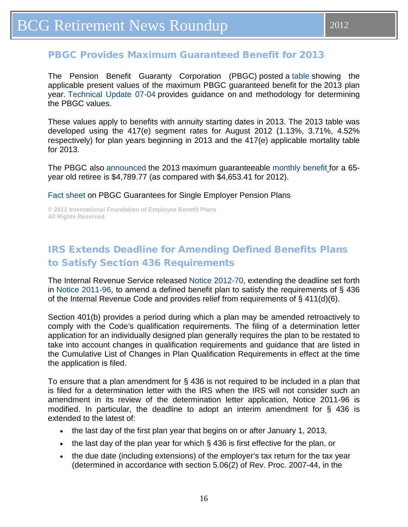<span id="page-15-0"></span>The Pension Benefit Guaranty Corporation (PBGC) posted a [table](http://www.pbgc.gov/prac/mortality-retirement-and-pv-max-guarantee/present-guarantee.html) showing the applicable present values of the maximum PBGC guaranteed benefit for the 2013 plan year. [Technical Update 07-04](http://www.pbgc.gov/res/other-guidance/tu/tu07-4.html) provides guidance on and methodology for determining the PBGC values.

These values apply to benefits with annuity starting dates in 2013. The 2013 table was developed using the 417(e) segment rates for August 2012 (1.13%, 3.71%, 4.52% respectively) for plan years beginning in 2013 and the 417(e) applicable mortality table for 2013.

The PBGC also [announced](http://www.pbgc.gov/news/press/releases/pr12-35.html) the 2013 maximum guaranteeable [monthly benefit](http://www.pbgc.gov/wr/benefits/guaranteed-benefits/maximum-guarantee.html?cid=CPAD01AENOV27201212) for a 65 year old retiree is \$4,789.77 (as compared with \$4,653.41 for 2012).

### [Fact sheet](http://pbgc.gov/res/factsheets/page/guar-facts.html) on PBGC Guarantees for Single Employer Pension Plans

**© 2012 International Foundation of Employee Benefit Plans All Rights Reserved**

### IRS Extends Deadline for Amending Defined Benefits Plans to Satisfy Section 436 Requirements

The Internal Revenue Service released [Notice 2012-70,](http://www.irs.gov/pub/irs-drop/n-12-70.pdf) extending the deadline set forth in [Notice 2011-96,](http://www.irs.gov/pub/irs-drop/n-11-96.pdf) to amend a defined benefit plan to satisfy the requirements of § 436 of the Internal Revenue Code and provides relief from requirements of § 411(d)(6).

Section 401(b) provides a period during which a plan may be amended retroactively to comply with the Code's qualification requirements. The filing of a determination letter application for an individually designed plan generally requires the plan to be restated to take into account changes in qualification requirements and guidance that are listed in the Cumulative List of Changes in Plan Qualification Requirements in effect at the time the application is filed.

To ensure that a plan amendment for  $\S$  436 is not required to be included in a plan that is filed for a determination letter with the IRS when the IRS will not consider such an amendment in its review of the determination letter application, Notice 2011-96 is modified. In particular, the deadline to adopt an interim amendment for § 436 is extended to the latest of:

- the last day of the first plan year that begins on or after January 1, 2013,
- the last day of the plan year for which § 436 is first effective for the plan, or
- the due date (including extensions) of the employer's tax return for the tax year (determined in accordance with section 5.06(2) of Rev. Proc. 2007-44, in the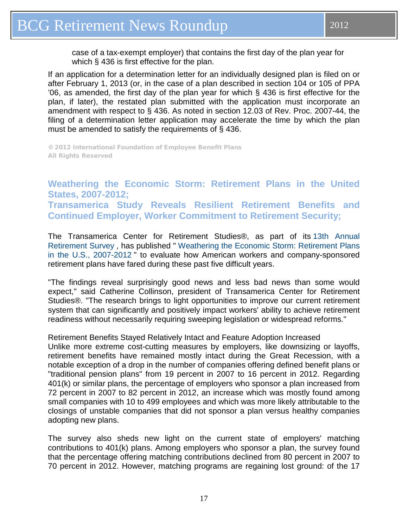<span id="page-16-0"></span>If an application for a determination letter for an individually designed plan is filed on or after February 1, 2013 (or, in the case of a plan described in section 104 or 105 of PPA '06, as amended, the first day of the plan year for which § 436 is first effective for the plan, if later), the restated plan submitted with the application must incorporate an amendment with respect to § 436. As noted in section 12.03 of Rev. Proc. 2007-44, the filing of a determination letter application may accelerate the time by which the plan must be amended to satisfy the requirements of § 436.

© 2012 International Foundation of Employee Benefit Plans All Rights Reserved

### **Weathering the Economic Storm: Retirement Plans in the United States, 2007-2012; Transamerica Study Reveals Resilient Retirement Benefits and Continued Employer, Worker Commitment to Retirement Security;**

The Transamerica Center for Retirement Studies®, as part of its [13th Annual](http://cts.businesswire.com/ct/CT?id=smartlink&url=http%3A%2F%2Ftransamericacenter.org%2Fresources%2Ftc_center_research.html&esheet=50477770&lan=en-US&anchor=13th+Annual+Retirement+Survey&index=1&md5=f141f1648e639e706037a3fd6a168ea0)  [Retirement Survey](http://cts.businesswire.com/ct/CT?id=smartlink&url=http%3A%2F%2Ftransamericacenter.org%2Fresources%2Ftc_center_research.html&esheet=50477770&lan=en-US&anchor=13th+Annual+Retirement+Survey&index=1&md5=f141f1648e639e706037a3fd6a168ea0) , has published " [Weathering the Economic Storm: Retirement Plans](http://cts.businesswire.com/ct/CT?id=smartlink&url=http%3A%2F%2Ftransamericacenter.org%2Fresources%2FWeathering%2520the%2520Ecomomic%2520Storm%25207-14-12.pdf&esheet=50477770&lan=en-US&anchor=Weathering+the+Economic+Storm%3A+Retirement+Plans+in+the+U.S.%2C+2007-2012&index=2&md5=8a20da710b8e61742ea4cf02bd965349)  [in the U.S., 2007-2012](http://cts.businesswire.com/ct/CT?id=smartlink&url=http%3A%2F%2Ftransamericacenter.org%2Fresources%2FWeathering%2520the%2520Ecomomic%2520Storm%25207-14-12.pdf&esheet=50477770&lan=en-US&anchor=Weathering+the+Economic+Storm%3A+Retirement+Plans+in+the+U.S.%2C+2007-2012&index=2&md5=8a20da710b8e61742ea4cf02bd965349) " to evaluate how American workers and company-sponsored retirement plans have fared during these past five difficult years.

"The findings reveal surprisingly good news and less bad news than some would expect," said Catherine Collinson, president of Transamerica Center for Retirement Studies®. "The research brings to light opportunities to improve our current retirement system that can significantly and positively impact workers' ability to achieve retirement readiness without necessarily requiring sweeping legislation or widespread reforms."

### Retirement Benefits Stayed Relatively Intact and Feature Adoption Increased

Unlike more extreme cost-cutting measures by employers, like downsizing or layoffs, retirement benefits have remained mostly intact during the Great Recession, with a notable exception of a drop in the number of companies offering defined benefit plans or "traditional pension plans" from 19 percent in 2007 to 16 percent in 2012. Regarding 401(k) or similar plans, the percentage of employers who sponsor a plan increased from 72 percent in 2007 to 82 percent in 2012, an increase which was mostly found among small companies with 10 to 499 employees and which was more likely attributable to the closings of unstable companies that did not sponsor a plan versus healthy companies adopting new plans.

The survey also sheds new light on the current state of employers' matching contributions to 401(k) plans. Among employers who sponsor a plan, the survey found that the percentage offering matching contributions declined from 80 percent in 2007 to 70 percent in 2012. However, matching programs are regaining lost ground: of the 17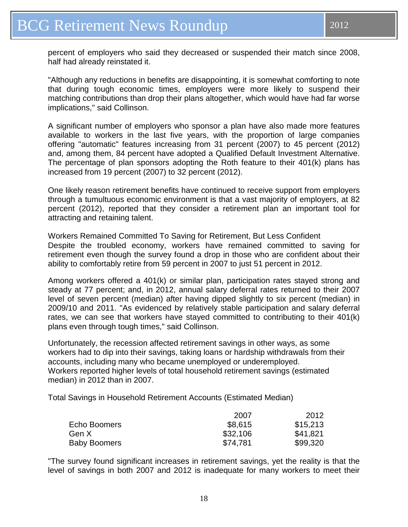"Although any reductions in benefits are disappointing, it is somewhat comforting to note that during tough economic times, employers were more likely to suspend their matching contributions than drop their plans altogether, which would have had far worse implications," said Collinson.

A significant number of employers who sponsor a plan have also made more features available to workers in the last five years, with the proportion of large companies offering "automatic" features increasing from 31 percent (2007) to 45 percent (2012) and, among them, 84 percent have adopted a Qualified Default Investment Alternative. The percentage of plan sponsors adopting the Roth feature to their 401(k) plans has increased from 19 percent (2007) to 32 percent (2012).

One likely reason retirement benefits have continued to receive support from employers through a tumultuous economic environment is that a vast majority of employers, at 82 percent (2012), reported that they consider a retirement plan an important tool for attracting and retaining talent.

Workers Remained Committed To Saving for Retirement, But Less Confident Despite the troubled economy, workers have remained committed to saving for retirement even though the survey found a drop in those who are confident about their ability to comfortably retire from 59 percent in 2007 to just 51 percent in 2012.

Among workers offered a 401(k) or similar plan, participation rates stayed strong and steady at 77 percent; and, in 2012, annual salary deferral rates returned to their 2007 level of seven percent (median) after having dipped slightly to six percent (median) in 2009/10 and 2011. "As evidenced by relatively stable participation and salary deferral rates, we can see that workers have stayed committed to contributing to their 401(k) plans even through tough times," said Collinson.

Unfortunately, the recession affected retirement savings in other ways, as some workers had to dip into their savings, taking loans or hardship withdrawals from their accounts, including many who became unemployed or underemployed. Workers reported higher levels of total household retirement savings (estimated median) in 2012 than in 2007.

Total Savings in Household Retirement Accounts (Estimated Median)

|                     | 2007     | 2012     |
|---------------------|----------|----------|
| Echo Boomers        | \$8,615  | \$15,213 |
| Gen X               | \$32,106 | \$41,821 |
| <b>Baby Boomers</b> | \$74,781 | \$99,320 |

"The survey found significant increases in retirement savings, yet the reality is that the level of savings in both 2007 and 2012 is inadequate for many workers to meet their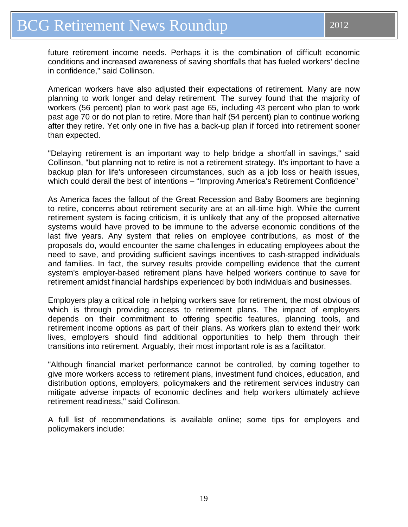future retirement income needs. Perhaps it is the combination of difficult economic conditions and increased awareness of saving shortfalls that has fueled workers' decline in confidence," said Collinson.

American workers have also adjusted their expectations of retirement. Many are now planning to work longer and delay retirement. The survey found that the majority of workers (56 percent) plan to work past age 65, including 43 percent who plan to work past age 70 or do not plan to retire. More than half (54 percent) plan to continue working after they retire. Yet only one in five has a back-up plan if forced into retirement sooner than expected.

"Delaying retirement is an important way to help bridge a shortfall in savings," said Collinson, "but planning not to retire is not a retirement strategy. It's important to have a backup plan for life's unforeseen circumstances, such as a job loss or health issues, which could derail the best of intentions – "Improving America's Retirement Confidence"

As America faces the fallout of the Great Recession and Baby Boomers are beginning to retire, concerns about retirement security are at an all-time high. While the current retirement system is facing criticism, it is unlikely that any of the proposed alternative systems would have proved to be immune to the adverse economic conditions of the last five years. Any system that relies on employee contributions, as most of the proposals do, would encounter the same challenges in educating employees about the need to save, and providing sufficient savings incentives to cash-strapped individuals and families. In fact, the survey results provide compelling evidence that the current system's employer-based retirement plans have helped workers continue to save for retirement amidst financial hardships experienced by both individuals and businesses.

Employers play a critical role in helping workers save for retirement, the most obvious of which is through providing access to retirement plans. The impact of employers depends on their commitment to offering specific features, planning tools, and retirement income options as part of their plans. As workers plan to extend their work lives, employers should find additional opportunities to help them through their transitions into retirement. Arguably, their most important role is as a facilitator.

"Although financial market performance cannot be controlled, by coming together to give more workers access to retirement plans, investment fund choices, education, and distribution options, employers, policymakers and the retirement services industry can mitigate adverse impacts of economic declines and help workers ultimately achieve retirement readiness," said Collinson.

A full list of recommendations is available online; some tips for employers and policymakers include: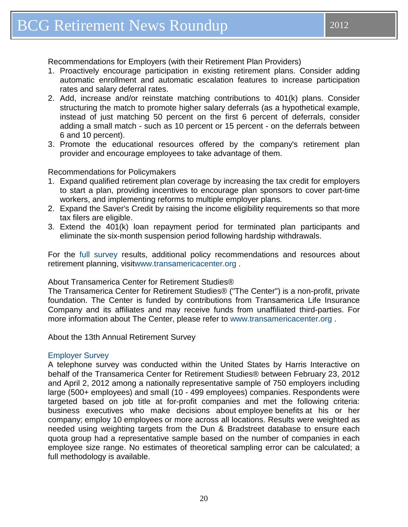Recommendations for Employers (with their Retirement Plan Providers)

- 1. Proactively encourage participation in existing retirement plans. Consider adding automatic enrollment and automatic escalation features to increase participation rates and salary deferral rates.
- 2. Add, increase and/or reinstate matching contributions to 401(k) plans. Consider structuring the match to promote higher salary deferrals (as a hypothetical example, instead of just matching 50 percent on the first 6 percent of deferrals, consider adding a small match - such as 10 percent or 15 percent - on the deferrals between 6 and 10 percent).
- 3. Promote the educational resources offered by the company's retirement plan provider and encourage employees to take advantage of them.

### Recommendations for Policymakers

- 1. Expand qualified retirement plan coverage by increasing the tax credit for employers to start a plan, providing incentives to encourage plan sponsors to cover part-time workers, and implementing reforms to multiple employer plans.
- 2. Expand the Saver's Credit by raising the income eligibility requirements so that more tax filers are eligible.
- 3. Extend the 401(k) loan repayment period for terminated plan participants and eliminate the six-month suspension period following hardship withdrawals.

For the [full survey](http://cts.businesswire.com/ct/CT?id=smartlink&url=http%3A%2F%2Ftransamericacenter.org%2Fresources%2Ftc_center_research.html&esheet=50477770&lan=en-US&anchor=full+survey&index=3&md5=234809fc18660caddc1781193e72f3a5) results, additional policy recommendations and resources about retirement planning, visi[twww.transamericacenter.org](http://cts.businesswire.com/ct/CT?id=smartlink&url=http%3A%2F%2Fwww.transamericacenter.org%2F&esheet=50477770&lan=en-US&anchor=www.transamericacenter.org&index=4&md5=44980c25b428c1028334a83a455d1532) .

### About Transamerica Center for Retirement Studies®

The Transamerica Center for Retirement Studies® ("The Center") is a non-profit, private foundation. The Center is funded by contributions from Transamerica Life Insurance Company and its affiliates and may receive funds from unaffiliated third-parties. For more information about The Center, please refer to [www.transamericacenter.org](http://cts.businesswire.com/ct/CT?id=smartlink&url=http%3A%2F%2Fwww.transamericacenter.org&esheet=50477770&lan=en-US&anchor=www.transamericacenter.org&index=5&md5=8dec6f18287528a82243e813f59b7b82) .

About the 13th Annual Retirement Survey

### [Employer Survey](http://cts.businesswire.com/ct/CT?id=smartlink&url=http%3A%2F%2Ftransamericacenter.org%2Fresources%2FWeathering%2520the%2520Ecomomic%2520Storm%25207-14-12.pdf&esheet=50477770&lan=en-US&anchor=Employer+Survey&index=6&md5=0f7bc66d3c22f01df721dd20359d8eef)

A telephone survey was conducted within the United States by Harris Interactive on behalf of the Transamerica Center for Retirement Studies® between February 23, 2012 and April 2, 2012 among a nationally representative sample of 750 employers including large (500+ employees) and small (10 - 499 employees) companies. Respondents were targeted based on job title at for-profit companies and met the following criteria: business executives who make decisions about employee benefits at his or her company; employ 10 employees or more across all locations. Results were weighted as needed using weighting targets from the Dun & Bradstreet database to ensure each quota group had a representative sample based on the number of companies in each employee size range. No estimates of theoretical sampling error can be calculated; a full methodology is available.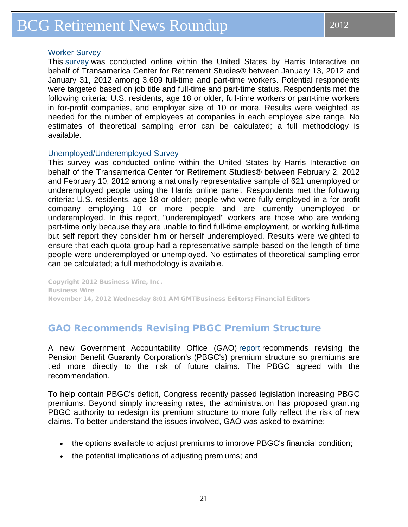### <span id="page-20-0"></span>[Worker Survey](http://cts.businesswire.com/ct/CT?id=smartlink&url=http%3A%2F%2Fwww.transamericacenter.org%2Fresources%2FTCRS%252013th%2520Annual%2520Worker%2520Full%2520Report%2520Final%25205-14.pdf&esheet=50477770&lan=en-US&anchor=Worker+Survey&index=7&md5=a7485369a0b359d8791d1b339fb55d5a)

This [survey](http://cts.businesswire.com/ct/CT?id=smartlink&url=http%3A%2F%2Ftransamericacenter.org%2Fresources%2FTCRS%252013th%2520Annual%2520Worker%2520Full%2520Report%2520Final%25205-14.pdf&esheet=50477770&lan=en-US&anchor=survey&index=8&md5=e37d61b04fe877c2b0406e51d267280c) was conducted online within the United States by Harris Interactive on behalf of Transamerica Center for Retirement Studies® between January 13, 2012 and January 31, 2012 among 3,609 full-time and part-time workers. Potential respondents were targeted based on job title and full-time and part-time status. Respondents met the following criteria: U.S. residents, age 18 or older, full-time workers or part-time workers in for-profit companies, and employer size of 10 or more. Results were weighted as needed for the number of employees at companies in each employee size range. No estimates of theoretical sampling error can be calculated; a full methodology is available.

### [Unemployed/Underemployed Survey](http://cts.businesswire.com/ct/CT?id=smartlink&url=http%3A%2F%2Fwww.transamericacenter.org%2Fresources%2FThe%2520Cracked%2520Nest%2520Egg%2520_%2520FINAL_July%252018%25202012.pdf&esheet=50477770&lan=en-US&anchor=Unemployed%2FUnderemployed+Survey&index=9&md5=6d768a4e76bdc53053cb5a539102e4da)

This survey was conducted online within the United States by Harris Interactive on behalf of the Transamerica Center for Retirement Studies® between February 2, 2012 and February 10, 2012 among a nationally representative sample of 621 unemployed or underemployed people using the Harris online panel. Respondents met the following criteria: U.S. residents, age 18 or older; people who were fully employed in a for-profit company employing 10 or more people and are currently unemployed or underemployed. In this report, "underemployed" workers are those who are working part-time only because they are unable to find full-time employment, or working full-time but self report they consider him or herself underemployed. Results were weighted to ensure that each quota group had a representative sample based on the length of time people were underemployed or unemployed. No estimates of theoretical sampling error can be calculated; a full methodology is available.

Copyright 2012 Business Wire, Inc. Business Wire November 14, 2012 Wednesday 8:01 AM GMTBusiness Editors; Financial Editors

### GAO Recommends Revising PBGC Premium Structure

A new Government Accountability Office (GAO) [report](http://www.gao.gov/products/GAO-13-58) recommends revising the Pension Benefit Guaranty Corporation's (PBGC's) premium structure so premiums are tied more directly to the risk of future claims. The PBGC agreed with the recommendation.

To help contain PBGC's deficit, Congress recently passed legislation increasing PBGC premiums. Beyond simply increasing rates, the administration has proposed granting PBGC authority to redesign its premium structure to more fully reflect the risk of new claims. To better understand the issues involved, GAO was asked to examine:

- the options available to adjust premiums to improve PBGC's financial condition;
- the potential implications of adjusting premiums; and